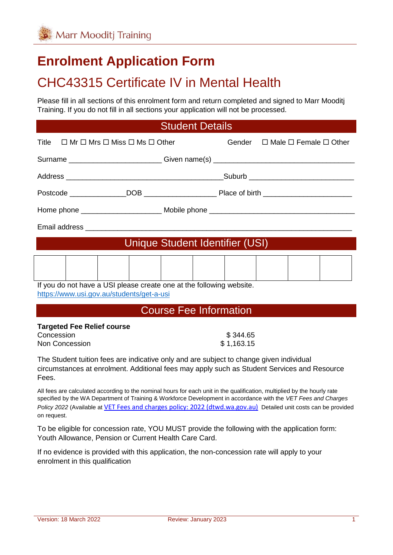# **Enrolment Application Form**

# CHC43315 Certificate IV in Mental Health

Please fill in all sections of this enrolment form and return completed and signed to Marr Mooditj Training. If you do not fill in all sections your application will not be processed.

#### Student Details

| Title $\Box$ Mr $\Box$ Mrs $\Box$ Miss $\Box$ Ms $\Box$ Other        |                                           |  |  |  | Gender $\Box$ Male $\Box$ Female $\Box$ Other |  |                                                                                  |
|----------------------------------------------------------------------|-------------------------------------------|--|--|--|-----------------------------------------------|--|----------------------------------------------------------------------------------|
|                                                                      |                                           |  |  |  |                                               |  | Surname ____________________________Given name(s) ______________________________ |
|                                                                      |                                           |  |  |  |                                               |  |                                                                                  |
|                                                                      |                                           |  |  |  |                                               |  |                                                                                  |
|                                                                      |                                           |  |  |  |                                               |  |                                                                                  |
|                                                                      |                                           |  |  |  |                                               |  |                                                                                  |
| Unique Student Identifier (USI)                                      |                                           |  |  |  |                                               |  |                                                                                  |
|                                                                      |                                           |  |  |  |                                               |  |                                                                                  |
|                                                                      |                                           |  |  |  |                                               |  |                                                                                  |
| If you do not have a USI please create one at the following website. |                                           |  |  |  |                                               |  |                                                                                  |
|                                                                      | https://www.usi.gov.au/students/get-a-usi |  |  |  |                                               |  |                                                                                  |

## Course Fee Information

#### **Targeted Fee Relief course**

| Concession     | \$344.65   |
|----------------|------------|
| Non Concession | \$1,163.15 |

The Student tuition fees are indicative only and are subject to change given individual circumstances at enrolment. Additional fees may apply such as Student Services and Resource Fees.

All fees are calculated according to the nominal hours for each unit in the qualification, multiplied by the hourly rate specified by the WA Department of Training & Workforce Development in accordance with the *VET Fees and Charges Policy 2022* (Available at [VET Fees and charges policy: 2022 \(dtwd.wa.gov.au\)](https://www.dtwd.wa.gov.au/sites/default/files/uploads/dtwd-vet-fees-and-charges-2022-v1.0.pdf) Detailed unit costs can be provided on request.

To be eligible for concession rate, YOU MUST provide the following with the application form: Youth Allowance, Pension or Current Health Care Card.

If no evidence is provided with this application, the non-concession rate will apply to your enrolment in this qualification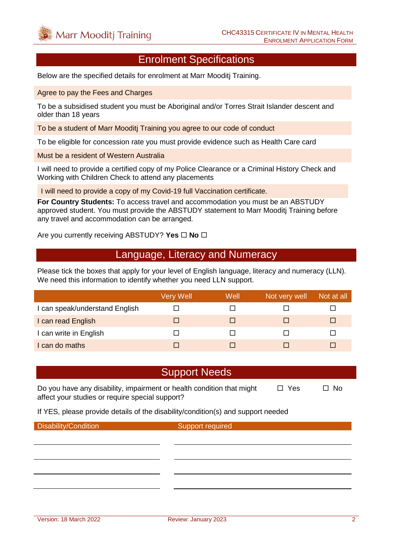#### Enrolment Specifications

Below are the specified details for enrolment at Marr Mooditj Training.

Agree to pay the Fees and Charges

To be a subsidised student you must be Aboriginal and/or Torres Strait Islander descent and older than 18 years

To be a student of Marr Mooditj Training you agree to our code of conduct

To be eligible for concession rate you must provide evidence such as Health Care card

Must be a resident of Western Australia

I will need to provide a certified copy of my Police Clearance or a Criminal History Check and Working with Children Check to attend any placements

I will need to provide a copy of my Covid-19 full Vaccination certificate.

**For Country Students:** To access travel and accommodation you must be an ABSTUDY approved student. You must provide the ABSTUDY statement to Marr Mooditj Training before any travel and accommodation can be arranged.

Are you currently receiving ABSTUDY? Yes  $\Box$  No  $\Box$ 

#### Language, Literacy and Numeracy

Please tick the boxes that apply for your level of English language, literacy and numeracy (LLN). We need this information to identify whether you need LLN support.

|                                | Very Well | Well | Not very well | Not at all |
|--------------------------------|-----------|------|---------------|------------|
| I can speak/understand English |           |      |               |            |
| I can read English             |           |      |               | ш          |
| I can write in English         |           |      |               |            |
| I can do maths                 |           |      |               |            |

#### Support Needs

Do you have any disability, impairment or health condition that might  $\Box$  Yes  $\Box$  No affect your studies or require special support?

If YES, please provide details of the disability/condition(s) and support needed

Disability/Condition Support required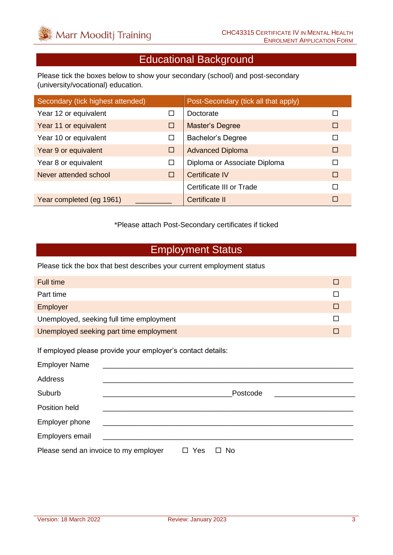# Educational Background

Please tick the boxes below to show your secondary (school) and post-secondary (university/vocational) education.

| Secondary (tick highest attended) |   | Post-Secondary (tick all that apply) |        |
|-----------------------------------|---|--------------------------------------|--------|
| Year 12 or equivalent             | □ | Doctorate                            |        |
| Year 11 or equivalent             | □ | <b>Master's Degree</b>               | П      |
| Year 10 or equivalent             | □ | <b>Bachelor's Degree</b>             |        |
| Year 9 or equivalent              | □ | <b>Advanced Diploma</b>              | $\Box$ |
| Year 8 or equivalent              | □ | Diploma or Associate Diploma         | П      |
| Never attended school             | □ | Certificate IV                       | $\Box$ |
|                                   |   | Certificate III or Trade             | П      |
| Year completed (eg 1961)          |   | Certificate II                       | П      |

\*Please attach Post-Secondary certificates if ticked

#### Employment Status

Please tick the box that best describes your current employment status

| Full time                                |  |
|------------------------------------------|--|
| Part time                                |  |
| Employer                                 |  |
| Unemployed, seeking full time employment |  |
| Unemployed seeking part time employment  |  |

If employed please provide your employer's contact details:

| <b>Employer Name</b>                  |                                                     |     |              |
|---------------------------------------|-----------------------------------------------------|-----|--------------|
| Address                               |                                                     |     |              |
| Suburb                                |                                                     |     | Postcode     |
| Position held                         |                                                     |     |              |
| Employer phone                        |                                                     |     |              |
| Employers email                       | <u> 1980 - Jan Samuel Barbara, politik e</u> ta pro |     |              |
| Please send an invoice to my employer |                                                     | Yes | No<br>$\Box$ |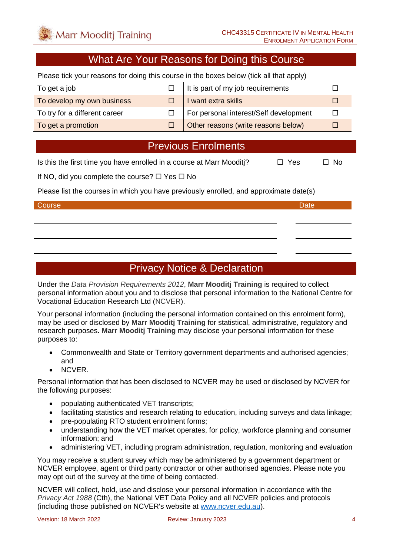### What Are Your Reasons for Doing this Course

Please tick your reasons for doing this course in the boxes below (tick all that apply)

| To get a job                  | $\Box$ It is part of my job requirements   |  |
|-------------------------------|--------------------------------------------|--|
| To develop my own business    | $\Box$ I want extra skills                 |  |
| To try for a different career | For personal interest/Self development     |  |
| To get a promotion            | $\Box$ Other reasons (write reasons below) |  |

### Previous Enrolments

Is this the first time you have enrolled in a course at Marr Mooditi?  $\Box$  Yes  $\Box$  No

If NO, did you complete the course?  $\Box$  Yes  $\Box$  No

Please list the courses in which you have previously enrolled, and approximate date(s)

#### Course **Date** Date of the Course of the Course of the Course of the Course of the Date

## Privacy Notice & Declaration

Under the *Data Provision Requirements 2012*, **Marr Mooditj Training** is required to collect personal information about you and to disclose that personal information to the National Centre for Vocational Education Research Ltd (NCVER).

Your personal information (including the personal information contained on this enrolment form), may be used or disclosed by **Marr Mooditj Training** for statistical, administrative, regulatory and research purposes. **Marr Mooditj Training** may disclose your personal information for these purposes to:

- Commonwealth and State or Territory government departments and authorised agencies; and
- NCVER.

Personal information that has been disclosed to NCVER may be used or disclosed by NCVER for the following purposes:

- populating authenticated VET transcripts;
- facilitating statistics and research relating to education, including surveys and data linkage;
- pre-populating RTO student enrolment forms:
- understanding how the VET market operates, for policy, workforce planning and consumer information; and
- administering VET, including program administration, regulation, monitoring and evaluation

You may receive a student survey which may be administered by a government department or NCVER employee, agent or third party contractor or other authorised agencies. Please note you may opt out of the survey at the time of being contacted.

NCVER will collect, hold, use and disclose your personal information in accordance with the *Privacy Act 1988* (Cth), the National VET Data Policy and all NCVER policies and protocols (including those published on NCVER's website at [www.ncver.edu.au\)](http://www.ncver.edu.au/).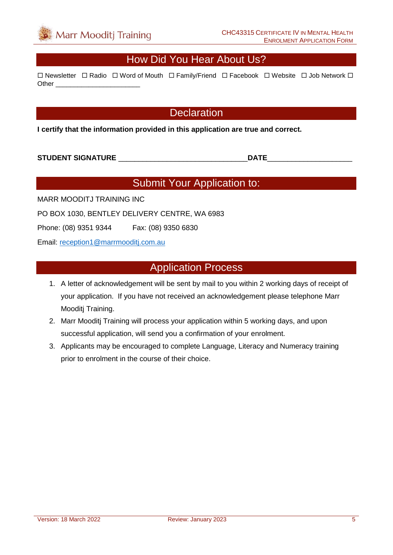### How Did You Hear About Us?

 $\Box$  Newsletter  $\Box$  Radio  $\Box$  Word of Mouth  $\Box$  Family/Friend  $\Box$  Facebook  $\Box$  Website  $\Box$  Job Network  $\Box$ Other **Lating** 

#### **Declaration**

**I certify that the information provided in this application are true and correct.**

**STUDENT SIGNATURE** \_\_\_\_\_\_\_\_\_\_\_\_\_\_\_\_\_\_\_\_\_\_\_\_\_\_\_\_\_\_\_\_**DATE**\_\_\_\_\_\_\_\_\_\_\_\_\_\_\_\_\_\_\_\_\_

# Submit Your Application to:

MARR MOODITJ TRAINING INC

PO BOX 1030, BENTLEY DELIVERY CENTRE, WA 6983

Phone: (08) 9351 9344 Fax: (08) 9350 6830

Email: [reception1@marrmooditj.com.au](mailto:reception1@marrmooditj.com.au)

#### Application Process

- 1. A letter of acknowledgement will be sent by mail to you within 2 working days of receipt of your application. If you have not received an acknowledgement please telephone Marr Mooditj Training.
- 2. Marr Mooditj Training will process your application within 5 working days, and upon successful application, will send you a confirmation of your enrolment.
- 3. Applicants may be encouraged to complete Language, Literacy and Numeracy training prior to enrolment in the course of their choice.